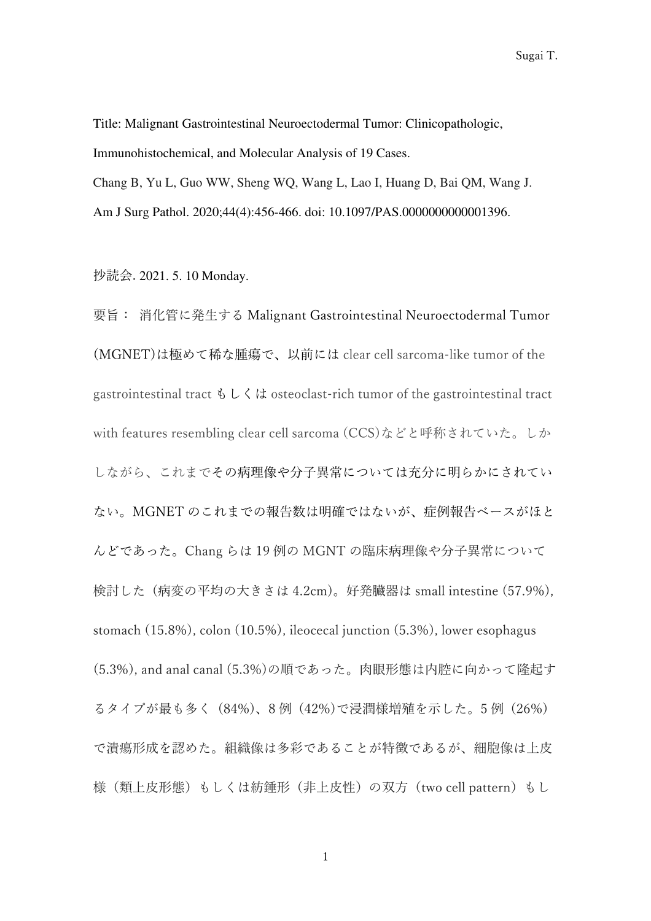Sugai T.

Title: Malignant Gastrointestinal Neuroectodermal Tumor: Clinicopathologic, Immunohistochemical, and Molecular Analysis of 19 Cases. Chang B, Yu L, Guo WW, Sheng WQ, Wang L, Lao I, Huang D, Bai QM, Wang J. Am J Surg Pathol. 2020;44(4):456-466. doi: 10.1097/PAS.0000000000001396.

抄読会. 2021. 5. 10 Monday.

要旨: 消化管に発生する Malignant Gastrointestinal Neuroectodermal Tumor (MGNET)は極めて稀な腫瘍で、以前には clear cell sarcoma-like tumor of the gastrointestinal tract  $\delta \cup \delta \mathcal{L}$  osteoclast-rich tumor of the gastrointestinal tract with features resembling clear cell sarcoma (CCS)などと呼称されていた。しか しながら、これまでその病理像や分子異常については充分に明らかにされてい ない。MGNET のこれまでの報告数は明確ではないが、症例報告ベースがほと んどであった。Chang らは 19 例の MGNT の臨床病理像や分子異常について 検討した (病変の平均の大きさは 4.2cm)。好発臓器は small intestine (57.9%), stomach (15.8%), colon (10.5%), ileocecal junction (5.3%), lower esophagus (5.3%), and anal canal (5.3%)の順であった。肉眼形態は内腔に向かって隆起す るタイプが最も多く (84%)、8 例 (42%)で浸潤様増殖を示した。5 例 (26%) で潰瘍形成を認めた。組織像は多彩であることが特徴であるが、細胞像は上皮 様(類上皮形態)もしくは紡錘形(非上皮性)の双方(two cell pattern)もし

1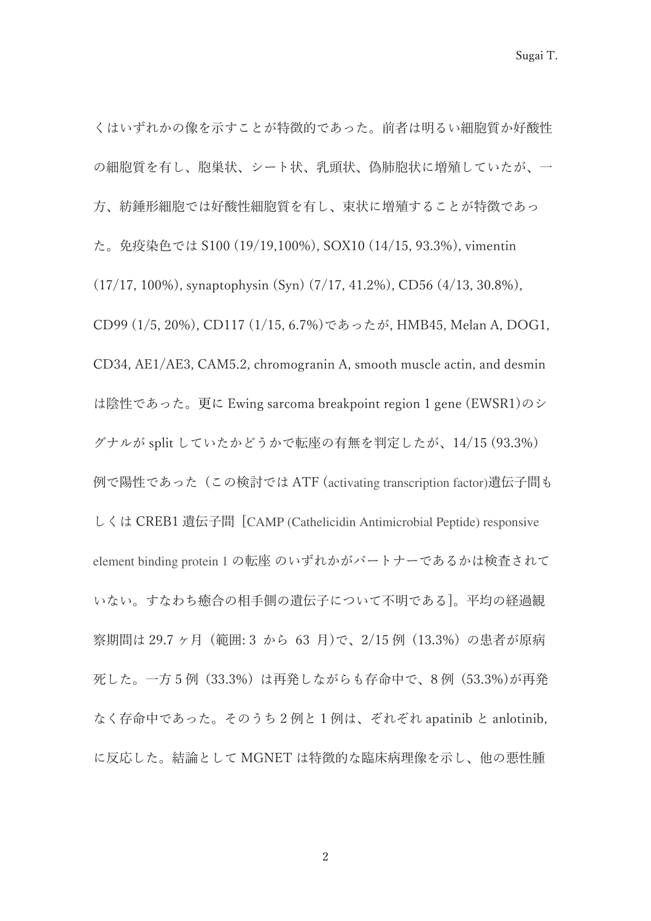くはいずれかの像を示すことが特徴的であった。前者は明るい細胞質か好酸性 の細胞質を有し、胞巣状、シート状、乳頭状、偽肺胞状に増殖していたが、一 方、紡錘形細胞では好酸性細胞質を有し、束状に増殖することが特徴であっ た。免疫染色では S100 (19/19,100%), SOX10 (14/15, 93.3%), vimentin (17/17, 100%), synaptophysin (Syn) (7/17, 41.2%), CD56 (4/13, 30.8%), CD99 (1/5, 20%), CD117 (1/15, 6.7%)であったが, HMB45, Melan A, DOG1, CD34, AE1/AE3, CAM5.2, chromogranin A, smooth muscle actin, and desmin は陰性であった。更に Ewing sarcoma breakpoint region 1 gene (EWSR1)のシ グナルが split していたかどうかで転座の有無を判定したが、14/15 (93.3%) 例で陽性であった (この検討では ATF (activating transcription factor)遺伝子間も しくは CREB1 遺伝子間 [CAMP (Cathelicidin Antimicrobial Peptide) responsive element binding protein 1 の転座 のいずれかがパートナーであるかは検査されて いない。すなわち癒合の相手側の遺伝子について不明である]。平均の経過観 察期間は 29.7 ヶ月 (範囲: 3 から 63 月)で、2/15 例 (13.3%) の患者が原病 死した。一方 5 例 (33.3%) は再発しながらも存命中で、8 例 (53.3%)が再発 なく存命中であった。そのうち 2 例と 1 例は、ぞれぞれ apatinib と anlotinib, に反応した。結論として MGNET は特徴的な臨床病理像を示し、他の悪性腫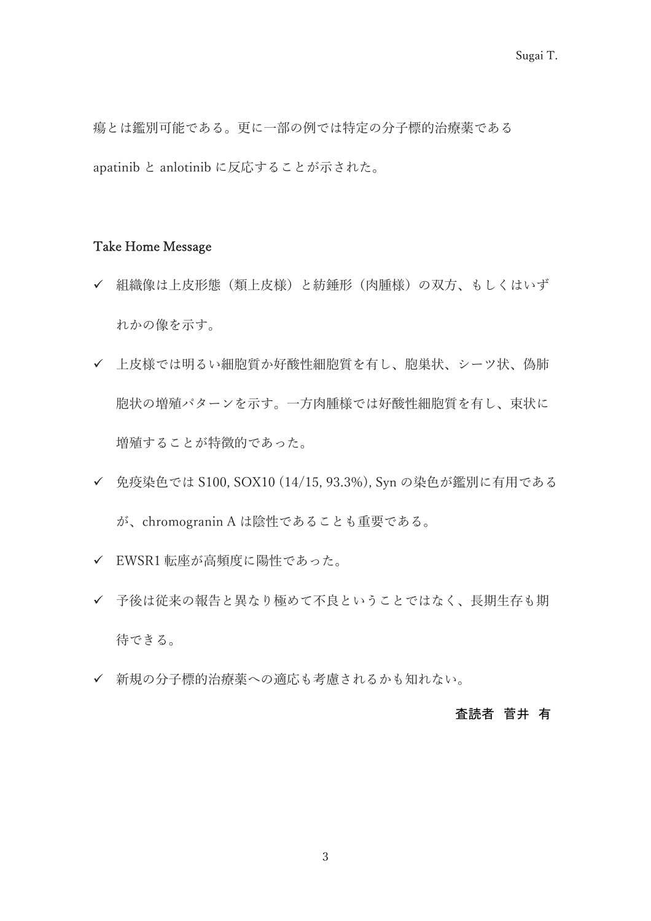瘍とは鑑別可能である。更に一部の例では特定の分子標的治療薬である apatinib と anlotinib に反応することが示された。

## Take Home Message

- 組織像は上皮形態(類上皮様)と紡錘形(肉腫様)の双方、もしくはいず れかの像を示す。
- 上皮様では明るい細胞質か好酸性細胞質を有し、胞巣状、シーツ状、偽肺 胞状の増殖パターンを示す。一方肉腫様では好酸性細胞質を有し、束状に 増殖することが特徴的であった。
- 免疫染色では S100, SOX10 (14/15, 93.3%), Syn の染色が鑑別に有用である が、chromogranin A は陰性であることも重要である。
- EWSR1 転座が高頻度に陽性であった。
- ✔ 予後は従来の報告と異なり極めて不良ということではなく、長期生存も期 待できる。
- 新規の分子標的治療薬への適応も考慮されるかも知れない。

## 査読者 菅井 有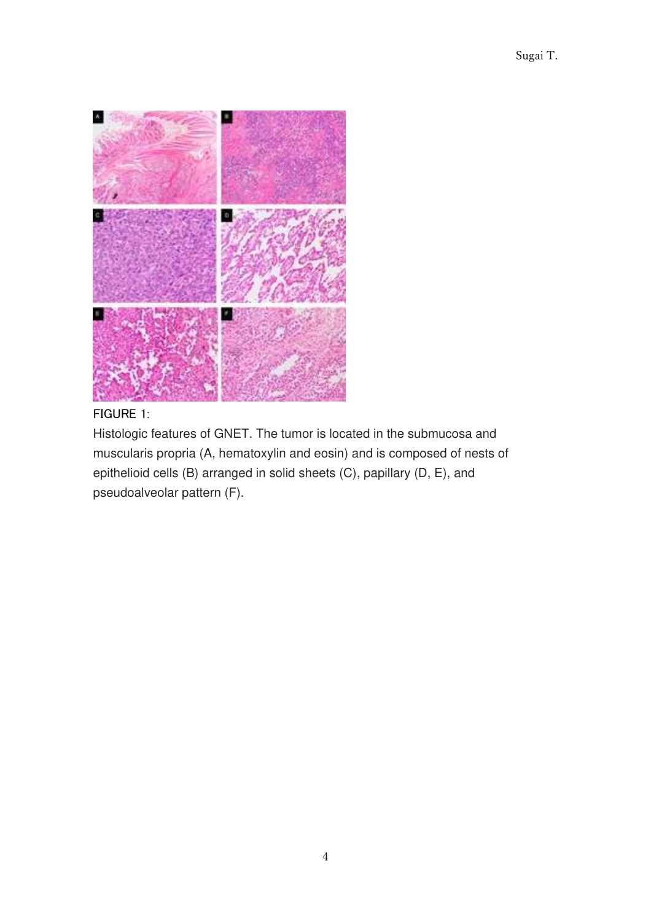

## FIGURE 1:

Histologic features of GNET. The tumor is located in the submucosa and muscularis propria (A, hematoxylin and eosin) and is composed of nests of epithelioid cells (B) arranged in solid sheets (C), papillary (D, E), and pseudoalveolar pattern (F).